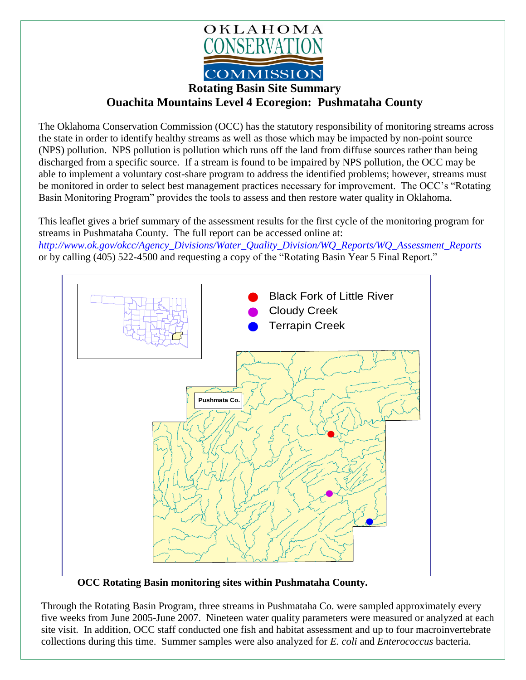

## **Rotating Basin Site Summary**

**Ouachita Mountains Level 4 Ecoregion: Pushmataha County**

The Oklahoma Conservation Commission (OCC) has the statutory responsibility of monitoring streams across the state in order to identify healthy streams as well as those which may be impacted by non-point source (NPS) pollution. NPS pollution is pollution which runs off the land from diffuse sources rather than being discharged from a specific source. If a stream is found to be impaired by NPS pollution, the OCC may be able to implement a voluntary cost-share program to address the identified problems; however, streams must be monitored in order to select best management practices necessary for improvement. The OCC's "Rotating Basin Monitoring Program" provides the tools to assess and then restore water quality in Oklahoma.

This leaflet gives a brief summary of the assessment results for the first cycle of the monitoring program for streams in Pushmataha County. The full report can be accessed online at:

*[http://www.ok.gov/okcc/Agency\\_Divisions/Water\\_Quality\\_Division/WQ\\_Reports/WQ\\_Assessment\\_Reports](http://www.ok.gov/okcc/Agency_Divisions/Water_Quality_Division/WQ_Reports/WQ_Assessment_Reports)* or by calling (405) 522-4500 and requesting a copy of the "Rotating Basin Year 5 Final Report."



**OCC Rotating Basin monitoring sites within Pushmataha County.**

Through the Rotating Basin Program, three streams in Pushmataha Co. were sampled approximately every five weeks from June 2005-June 2007. Nineteen water quality parameters were measured or analyzed at each site visit. In addition, OCC staff conducted one fish and habitat assessment and up to four macroinvertebrate collections during this time. Summer samples were also analyzed for *E. coli* and *Enterococcus* bacteria.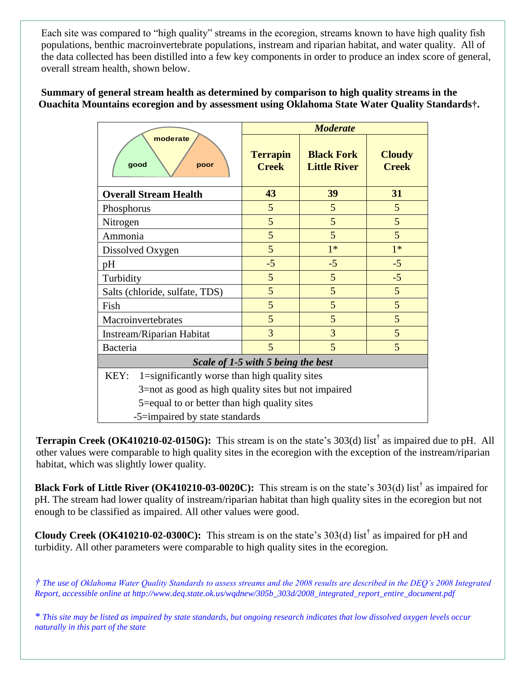Each site was compared to "high quality" streams in the ecoregion, streams known to have high quality fish populations, benthic macroinvertebrate populations, instream and riparian habitat, and water quality. All of the data collected has been distilled into a few key components in order to produce an index score of general, overall stream health, shown below.

## **Summary of general stream health as determined by comparison to high quality streams in the Ouachita Mountains ecoregion and by assessment using Oklahoma State Water Quality Standards†.**

| moderate<br>good<br>poor                              | <b>Moderate</b>                 |                                          |                               |
|-------------------------------------------------------|---------------------------------|------------------------------------------|-------------------------------|
|                                                       | <b>Terrapin</b><br><b>Creek</b> | <b>Black Fork</b><br><b>Little River</b> | <b>Cloudy</b><br><b>Creek</b> |
| <b>Overall Stream Health</b>                          | 43                              | 39                                       | 31                            |
| Phosphorus                                            | 5                               | 5                                        | 5                             |
| Nitrogen                                              | 5                               | 5                                        | 5                             |
| Ammonia                                               | 5                               | 5                                        | 5                             |
| Dissolved Oxygen                                      | 5                               | $1*$                                     | $1*$                          |
| pH                                                    | $-5$                            | $-5$                                     | $-5$                          |
| Turbidity                                             | 5                               | 5                                        | $-5$                          |
| Salts (chloride, sulfate, TDS)                        | 5                               | 5                                        | 5                             |
| Fish                                                  | 5                               | 5                                        | 5                             |
| Macroinvertebrates                                    | 5                               | 5                                        | 5                             |
| Instream/Riparian Habitat                             | 3                               | 3                                        | 5                             |
| Bacteria                                              | 5                               | 5                                        | 5                             |
| Scale of 1-5 with 5 being the best                    |                                 |                                          |                               |
| KEY:<br>1=significantly worse than high quality sites |                                 |                                          |                               |
| 3=not as good as high quality sites but not impaired  |                                 |                                          |                               |
| 5=equal to or better than high quality sites          |                                 |                                          |                               |
| -5=impaired by state standards                        |                                 |                                          |                               |

**Terrapin Creek (OK410210-02-0150G):** This stream is on the state's 303(d) list<sup>†</sup> as impaired due to pH. All other values were comparable to high quality sites in the ecoregion with the exception of the instream/riparian habitat, which was slightly lower quality.

**Black Fork of Little River (OK410210-03-0020C):** This stream is on the state's 303(d) list<sup>†</sup> as impaired for pH. The stream had lower quality of instream/riparian habitat than high quality sites in the ecoregion but not enough to be classified as impaired. All other values were good.

**Cloudy Creek (OK410210-02-0300C):** This stream is on the state's 303(d) list† as impaired for pH and turbidity. All other parameters were comparable to high quality sites in the ecoregion.

*† The use of Oklahoma Water Quality Standards to assess streams and the 2008 results are described in the DEQ's 2008 Integrated Report, accessible online at http://www.deq.state.ok.us/wqdnew/305b\_303d/2008\_integrated\_report\_entire\_document.pdf*

*\* This site may be listed as impaired by state standards, but ongoing research indicates that low dissolved oxygen levels occur naturally in this part of the state*